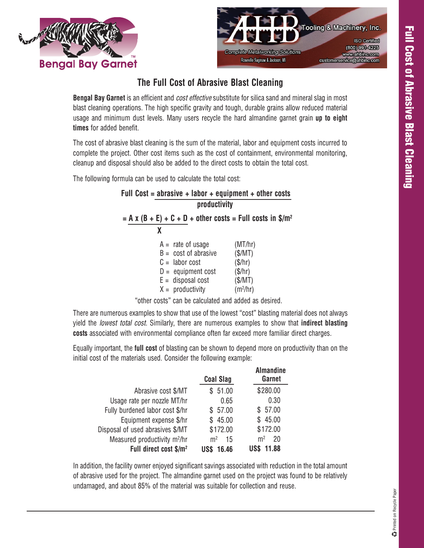



## **The Full Cost of Abrasive Blast Cleaning**

**Bengal Bay Garnet** is an efficient and *cost effective* substitute for silica sand and mineral slag in most blast cleaning operations. The high specific gravity and tough, durable grains allow reduced material usage and minimum dust levels. Many users recycle the hard almandine garnet grain **up to eight times** for added benefit.

The cost of abrasive blast cleaning is the sum of the material, labor and equipment costs incurred to complete the project. Other cost items such as the cost of containment, environmental monitoring, cleanup and disposal should also be added to the direct costs to obtain the total cost.

The following formula can be used to calculate the total cost:

| Full Cost = abrasive + labor + equipment + other costs                                                                               |                                                                           |  |  |  |
|--------------------------------------------------------------------------------------------------------------------------------------|---------------------------------------------------------------------------|--|--|--|
| productivity                                                                                                                         |                                                                           |  |  |  |
| $=$ A x (B + E) + C + D + other costs = Full costs in \$/m <sup>2</sup>                                                              |                                                                           |  |  |  |
| x                                                                                                                                    |                                                                           |  |  |  |
| $A =$ rate of usage<br>$B = \text{cost of}$<br>$C =$ labor cost<br>$D =$ equipment cost<br>$E =$ disposal cost<br>$X =$ productivity | (MT/hr)<br>(S/MT)<br>(\$/hr)<br>(\$/hr)<br>(S/MT)<br>(m <sup>2</sup> /hr) |  |  |  |

"other costs" can be calculated and added as desired.

There are numerous examples to show that use of the lowest "cost" blasting material does not always yield the *lowest total cost.* Similarly, there are numerous examples to show that **indirect blasting costs** associated with environmental compliance often far exceed more familiar direct charges.

Equally important, the **full cost** of blasting can be shown to depend more on productivity than on the initial cost of the materials used. Consider the following example:

|                                          | <b>Coal Slag</b>     | <b>Almandine</b><br>Garnet |
|------------------------------------------|----------------------|----------------------------|
| Abrasive cost \$/MT                      | 51.00                | \$280.00                   |
| Usage rate per nozzle MT/hr              | 0.65                 | 0.30                       |
| Fully burdened labor cost \$/hr          | \$57.00              | \$57.00                    |
| Equipment expense \$/hr                  | 45.00<br>S.          | \$45.00                    |
| Disposal of used abrasives \$/MT         | \$172.00             | \$172.00                   |
| Measured productivity m <sup>2</sup> /hr | m <sup>2</sup><br>15 | m <sup>2</sup><br>20       |
| Full direct cost \$/m <sup>2</sup>       | 16.46                | 1.88                       |

In addition, the facility owner enjoyed significant savings associated with reduction in the total amount of abrasive used for the project. The almandine garnet used on the project was found to be relatively undamaged, and about 85% of the material was suitable for collection and reuse.

**C** Printed on Recycle Paper Printed on Recycle Paper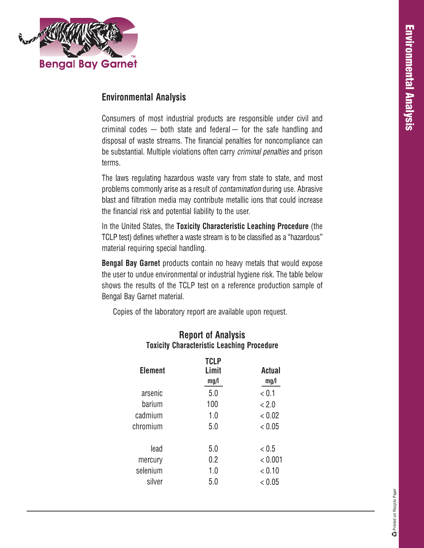

## **Environmental Analysis**

Consumers of most industrial products are responsible under civil and criminal codes  $-$  both state and federal  $-$  for the safe handling and disposal of waste streams. The financial penalties for noncompliance can be substantial. Multiple violations often carry *criminal penalties* and prison terms.

The laws regulating hazardous waste vary from state to state, and most problems commonly arise as a result of *contamination* during use. Abrasive blast and filtration media may contribute metallic ions that could increase the financial risk and potential liability to the user.

In the United States, the **Toxicity Characteristic Leaching Procedure** (the TCLP test) defines whether a waste stream is to be classified as a "hazardous" material requiring special handling.

**Bengal Bay Garnet** products contain no heavy metals that would expose the user to undue environmental or industrial hygiene risk. The table below shows the results of the TCLP test on a reference production sample of Bengal Bay Garnet material.

Copies of the laboratory report are available upon request.

| <b>Element</b> | <b>TCLP</b><br>Limit<br>mg/l | <b>Actual</b><br>mg/l |
|----------------|------------------------------|-----------------------|
| arsenic        | 5.0                          | < 0.1                 |
| barium         | 100                          | < 2.0                 |
| cadmium        | 1.0                          | < 0.02                |
| chromium       | 5.0                          | < 0.05                |
| lead           | 5.0                          | < 0.5                 |
| mercury        | 0.2                          | < 0.001               |
| selenium       | 1.0                          | < 0.10                |
| silver         | 5.0                          | < 0.05                |
|                |                              |                       |

## **Report of Analysis Toxicity Characteristic Leaching Procedure**